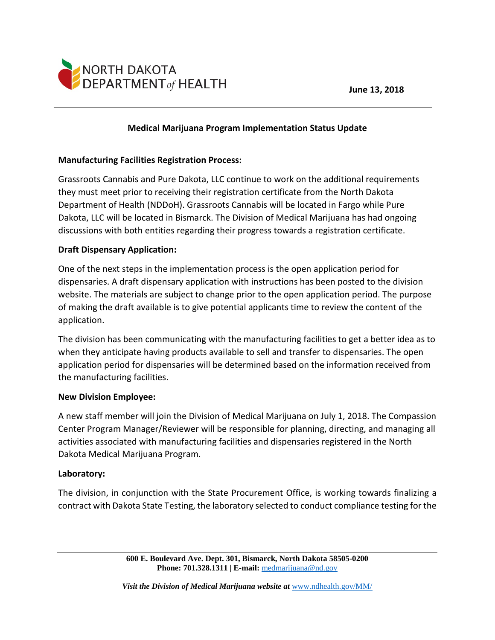



## **Medical Marijuana Program Implementation Status Update**

### **Manufacturing Facilities Registration Process:**

Grassroots Cannabis and Pure Dakota, LLC continue to work on the additional requirements they must meet prior to receiving their registration certificate from the North Dakota Department of Health (NDDoH). Grassroots Cannabis will be located in Fargo while Pure Dakota, LLC will be located in Bismarck. The Division of Medical Marijuana has had ongoing discussions with both entities regarding their progress towards a registration certificate.

## **Draft Dispensary Application:**

One of the next steps in the implementation process is the open application period for dispensaries. A draft dispensary application with instructions has been posted to the division website. The materials are subject to change prior to the open application period. The purpose of making the draft available is to give potential applicants time to review the content of the application.

The division has been communicating with the manufacturing facilities to get a better idea as to when they anticipate having products available to sell and transfer to dispensaries. The open application period for dispensaries will be determined based on the information received from the manufacturing facilities.

#### **New Division Employee:**

A new staff member will join the Division of Medical Marijuana on July 1, 2018. The Compassion Center Program Manager/Reviewer will be responsible for planning, directing, and managing all activities associated with manufacturing facilities and dispensaries registered in the North Dakota Medical Marijuana Program.

## **Laboratory:**

The division, in conjunction with the State Procurement Office, is working towards finalizing a contract with Dakota State Testing, the laboratory selected to conduct compliance testing for the

> **600 E. Boulevard Ave. Dept. 301, Bismarck, North Dakota 58505-0200 Phone: 701.328.1311 | E-mail:** [medmarijuana@nd.gov](mailto:medmarijuana@nd.gov)